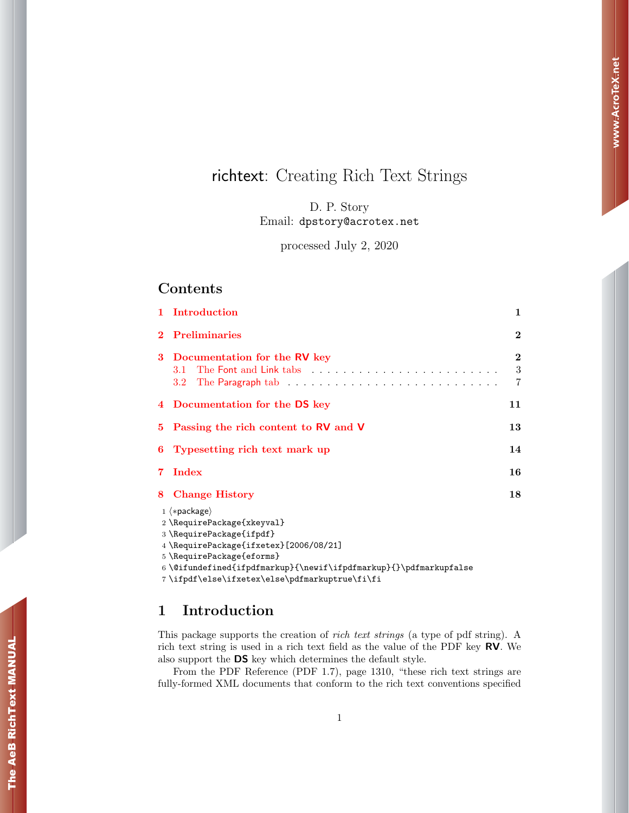# richtext: Creating Rich Text Strings

D. P. Story Email: dpstory@acrotex.net

processed July 2, 2020

## Contents

|    | 1 Introduction                                                                          | 1                  |
|----|-----------------------------------------------------------------------------------------|--------------------|
|    | <b>Preliminaries</b>                                                                    | $\bf{2}$           |
| 3  | Documentation for the RV key<br>3.1<br>$3.2^{\circ}$                                    | $\bf{2}$<br>3<br>7 |
|    | 4 Documentation for the DS key                                                          | 11                 |
| 5. | Passing the rich content to RV and V                                                    | 13                 |
| 6  | Typesetting rich text mark up                                                           | 14                 |
| 7  | Index                                                                                   | 16                 |
| 8  | <b>Change History</b>                                                                   | 18                 |
|    | $1$ $\langle *package \rangle$<br>2 \RequirePackage{xkeyval}<br>3\RequirePackage{ifpdf} |                    |

4 \RequirePackage{ifxetex}[2006/08/21]

 $6 \ \@ifundefined{\ifpdfmarkup}{\newif\ifpdfmarkup}{\hdfmarkupfalse$ 

7 \ifpdf\else\ifxetex\else\pdfmarkuptrue\fi\fi

## <span id="page-0-0"></span>1 Introduction

This package supports the creation of rich text strings (a type of pdf string). A rich text string is used in a rich text field as the value of the PDF key RV. We also support the DS key which determines the default style.

From the PDF Reference (PDF 1.7), page 1310, "these rich text strings are fully-formed XML documents that conform to the rich text conventions specified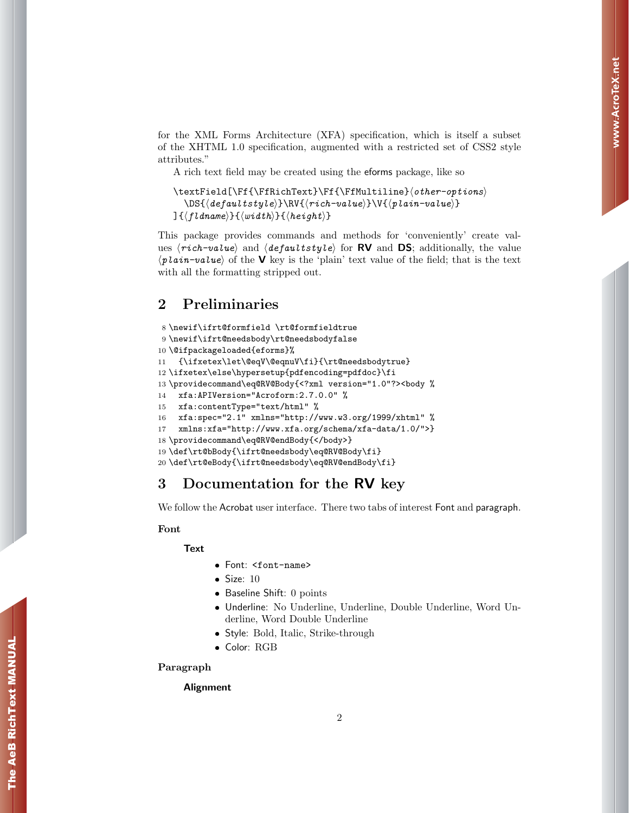for the XML Forms Architecture (XFA) specification, which is itself a subset of the XHTML 1.0 specification, augmented with a restricted set of CSS2 style attributes."

A rich text field may be created using the eforms package, like so

```
\text{Fif}\Ff\left\{\Ff\left\{\Ff\left\{I\right\}\in\} \to \theta\right\}\DS({\text{default}tstyle})\N({\text{rich-value}})\V({\text{plain-value}})\}{\langlefldname}}{\langle width \rangle}{\langle height \rangle}
```
This package provides commands and methods for 'conveniently' create values  $\langle rich-value\rangle$  and  $\langle defaultstyle\rangle$  for **RV** and **DS**; additionally, the value  $\langle$ plain-value) of the V key is the 'plain' text value of the field; that is the text with all the formatting stripped out.

## <span id="page-1-0"></span>2 Preliminaries

```
8 \newif\ifrt@formfield \rt@formfieldtrue
9 \newif\ifrt@needsbody\rt@needsbodyfalse
10 \@ifpackageloaded{eforms}%
11 {\ifxetex\let\@eqV\@eqnuV\fi}{\rt@needsbodytrue}
12 \ifxetex\else\hypersetup{pdfencoding=pdfdoc}\fi
13 \providecommand\eq@RV@Body{<?xml version="1.0"?><body %
14 xfa:APIVersion="Acroform:2.7.0.0" %
15 xfa:contentType="text/html" %
16 xfa:spec="2.1" xmlns="http://www.w3.org/1999/xhtml" %
17 xmlns:xfa="http://www.xfa.org/schema/xfa-data/1.0/">}
18 \providecommand\eq@RV@endBody{</body>}
19 \def\rt@bBody{\ifrt@needsbody\eq@RV@Body\fi}
20 \def\rt@eBody{\ifrt@needsbody\eq@RV@endBody\fi}
```
## <span id="page-1-1"></span>3 Documentation for the RV key

We follow the Acrobat user interface. There two tabs of interest Font and paragraph.

#### Font

#### **Text**

- Font: <font-name>
- $\bullet$  Size: 10
- Baseline Shift: 0 points
- Underline: No Underline, Underline, Double Underline, Word Underline, Word Double Underline
- Style: Bold, Italic, Strike-through
- Color: RGB

#### Paragraph

#### Alignment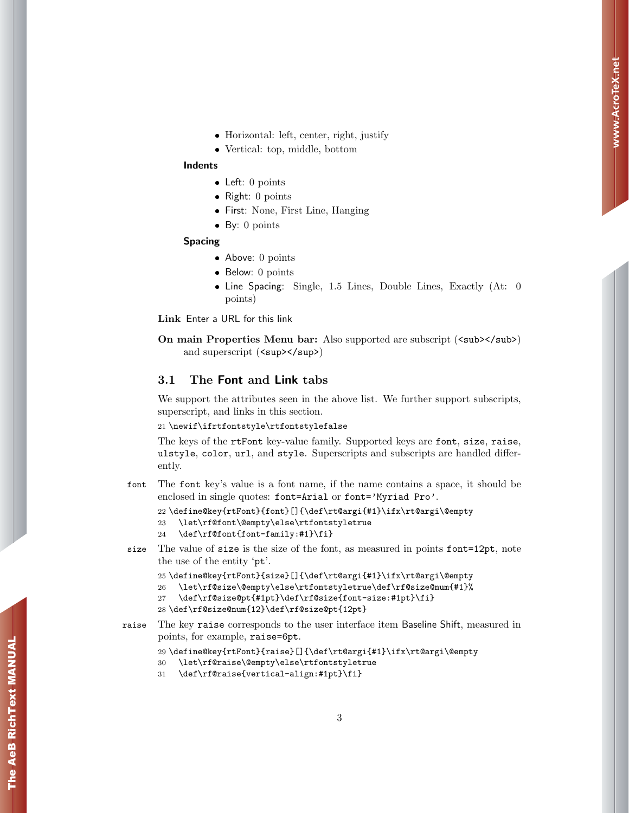- Horizontal: left, center, right, justify
- Vertical: top, middle, bottom

#### Indents

- Left: 0 points
- Right: 0 points
- First: None, First Line, Hanging
- By: 0 points

#### Spacing

- Above: 0 points
- Below: 0 points
- Line Spacing: Single, 1.5 Lines, Double Lines, Exactly (At: 0 points)

Link Enter a URL for this link

On main Properties Menu bar: Also supported are subscript (<sub></sub>) and superscript ( $\langle \text{sup}\rangle$  /sup>)

#### <span id="page-2-0"></span>3.1 The Font and Link tabs

We support the attributes seen in the above list. We further support subscripts, superscript, and links in this section.

#### 21 \newif\ifrtfontstyle\rtfontstylefalse

The keys of the rtFont key-value family. Supported keys are font, size, raise, ulstyle, color, url, and style. Superscripts and subscripts are handled differently.

font The font key's value is a font name, if the name contains a space, it should be enclosed in single quotes: font=Arial or font='Myriad Pro'.

```
22 \define@key{rtFont}{font}[]{\def\rt@argi{#1}\ifx\rt@argi\@empty
23 \let\rf@font\@empty\else\rtfontstyletrue
```
- 24 \def\rf@font{font-family:#1}\fi}
- size The value of size is the size of the font, as measured in points font=12pt, note the use of the entity 'pt'.

```
25 \define@key{rtFont}{size}[]{\def\rt@argi{#1}\ifx\rt@argi\@empty
```

```
26 \let\rf@size\@empty\else\rtfontstyletrue\def\rf@size@num{#1}%
```

```
27 \def\rf@size@pt{#1pt}\def\rf@size{font-size:#1pt}\fi}
```

```
28 \def\rf@size@num{12}\def\rf@size@pt{12pt}
```
raise The key raise corresponds to the user interface item Baseline Shift, measured in points, for example, raise=6pt.

```
29 \define@key{rtFont}{raise}[]{\def\rt@argi{#1}\ifx\rt@argi\@empty
```

```
30 \let\rf@raise\@empty\else\rtfontstyletrue
```
31 \def\rf@raise{vertical-align:#1pt}\fi}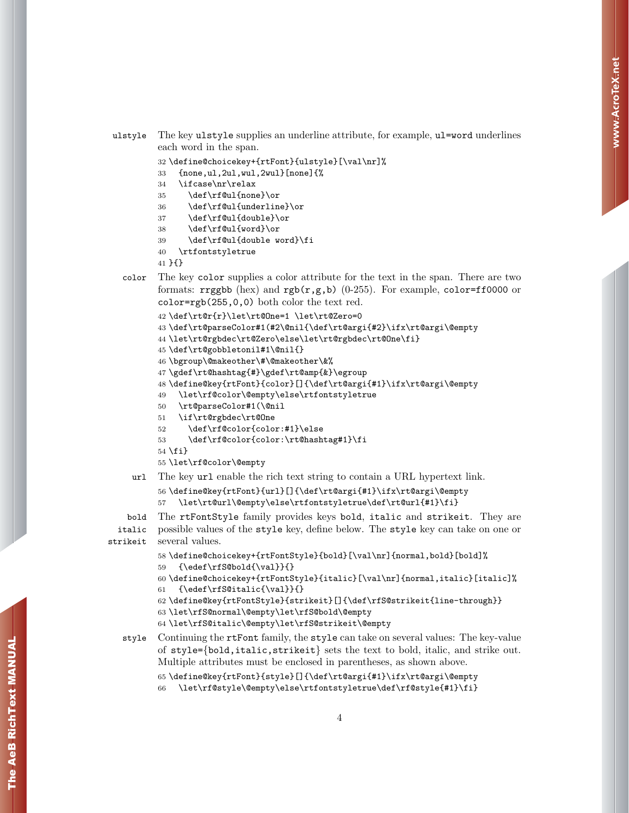```
ulstyle The key ulstyle supplies an underline attribute, for example, ul=word underlines
         each word in the span.
```

```
32 \define@choicekey+{rtFont}{ulstyle}[\val\nr]%
```
- {none,ul,2ul,wul,2wul}[none]{%
- \ifcase\nr\relax
- \def\rf@ul{none}\or
- \def\rf@ul{underline}\or
- \def\rf@ul{double}\or
- \def\rf@ul{word}\or
- \def\rf@ul{double word}\fi
- \rtfontstyletrue

}{}

color The key color supplies a color attribute for the text in the span. There are two formats: rrggbb (hex) and  $rgb(r,g,b)$  (0-255). For example, color=ff0000 or color=rgb(255,0,0) both color the text red.

```
42 \def\rt@r{r}\let\rt@One=1 \let\rt@Zero=0
```

```
43 \def\rt@parseColor#1(#2\@nil{\def\rt@argi{#2}\ifx\rt@argi\@empty
```

```
44 \let\rt@rgbdec\rt@Zero\else\let\rt@rgbdec\rt@One\fi}
```
- \def\rt@gobbletonil#1\@nil{}
- \bgroup\@makeother\#\@makeother\&%
- \gdef\rt@hashtag{#}\gdef\rt@amp{&}\egroup

```
48 \define@key{rtFont}{color}[]{\def\rt@argi{#1}\ifx\rt@argi\@empty
```
- \let\rf@color\@empty\else\rtfontstyletrue
- \rt@parseColor#1(\@nil
- \if\rt@rgbdec\rt@One
- \def\rf@color{color:#1}\else
- \def\rf@color{color:\rt@hashtag#1}\fi

 $54 \text{ t}$ 

```
55 \let\rf@color\@empty
```

```
url The key url enable the rich text string to contain a URL hypertext link.
```

```
56 \define@key{rtFont}{url}[]{\def\rt@argi{#1}\ifx\rt@argi\@empty
57 \let\rt@url\@empty\else\rtfontstyletrue\def\rt@url{#1}\fi}
```
bold The rtFontStyle family provides keys bold, italic and strikeit. They are italic possible values of the style key, define below. The style key can take on one or strikeit several values.

```
58 \define@choicekey+{rtFontStyle}{bold}[\val\nr]{normal,bold}[bold]%
59 {\edef\rfS@bold{\val}}{}
```

```
60 \define@choicekey+{rtFontStyle}{italic}[\val\nr]{normal,italic}[italic]%
61 {\edef\rfS@italic{\val}}{}
```

```
62 \define@key{rtFontStyle}{strikeit}[]{\def\rfS@strikeit{line-through}}
```
- \let\rfS@normal\@empty\let\rfS@bold\@empty
- \let\rfS@italic\@empty\let\rfS@strikeit\@empty
- style Continuing the rtFont family, the style can take on several values: The key-value of style={bold,italic,strikeit} sets the text to bold, italic, and strike out. Multiple attributes must be enclosed in parentheses, as shown above.

```
65 \define@key{rtFont}{style}[]{\def\rt@argi{#1}\ifx\rt@argi\@empty
```

```
66 \let\rf@style\@empty\else\rtfontstyletrue\def\rf@style{#1}\fi}
```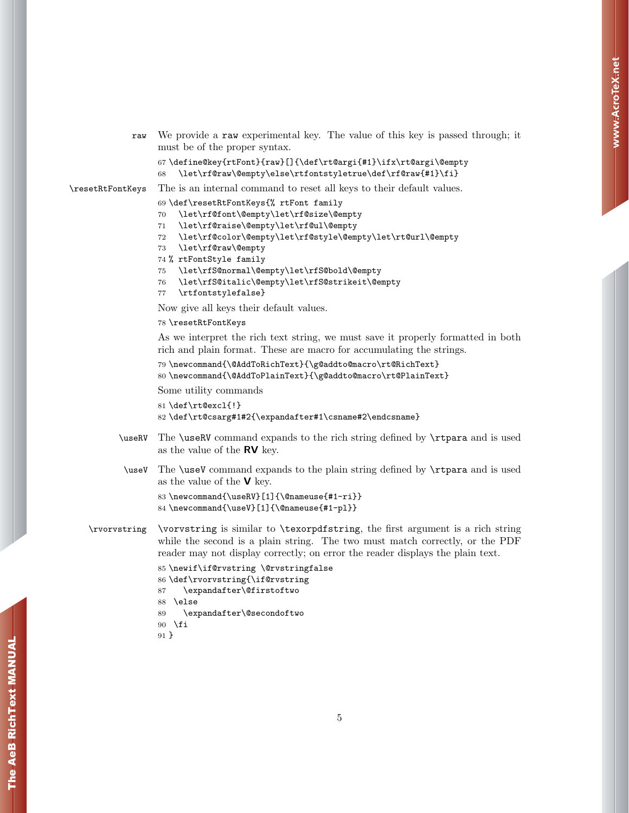```
raw We provide a raw experimental key. The value of this key is passed through; it
     must be of the proper syntax.
```

```
67 \define@key{rtFont}{raw}[]{\def\rt@argi{#1}\ifx\rt@argi\@empty
68 \let\rf@raw\@empty\else\rtfontstyletrue\def\rf@raw{#1}\fi}
```

```
\resetRtFontKeys The is an internal command to reset all keys to their default values.
```

```
69 \def\resetRtFontKeys{% rtFont family
70 \let\rf@font\@empty\let\rf@size\@empty
```
- 
- \let\rf@raise\@empty\let\rf@ul\@empty
- \let\rf@color\@empty\let\rf@style\@empty\let\rt@url\@empty
- \let\rf@raw\@empty
- % rtFontStyle family
- \let\rfS@normal\@empty\let\rfS@bold\@empty
- \let\rfS@italic\@empty\let\rfS@strikeit\@empty
- \rtfontstylefalse}

Now give all keys their default values.

#### \resetRtFontKeys

As we interpret the rich text string, we must save it properly formatted in both rich and plain format. These are macro for accumulating the strings.

```
79 \newcommand{\@AddToRichText}{\g@addto@macro\rt@RichText}
```

```
80 \newcommand{\@AddToPlainText}{\g@addto@macro\rt@PlainText}
```
Some utility commands

```
81 \def\rt@excl{!}
```

```
82 \def\rt@csarg#1#2{\expandafter#1\csname#2\endcsname}
```
- \useRV The \useRV command expands to the rich string defined by \rtpara and is used as the value of the RV key.
- \useV The \useV command expands to the plain string defined by \rtpara and is used as the value of the  $\vee$  key.

```
83 \newcommand{\useRV}[1]{\@nameuse{#1-ri}}
84 \newcommand{\useV}[1]{\@nameuse{#1-pl}}
```
\rvorvstring \vorvstring is similar to \texorpdfstring, the first argument is a rich string while the second is a plain string. The two must match correctly, or the PDF reader may not display correctly; on error the reader displays the plain text.

```
85 \newif\if@rvstring \@rvstringfalse
86 \def\rvorvstring{\if@rvstring
87 \expandafter\@firstoftwo
88 \else
89 \expandafter\@secondoftwo
90 \fi
91 }
```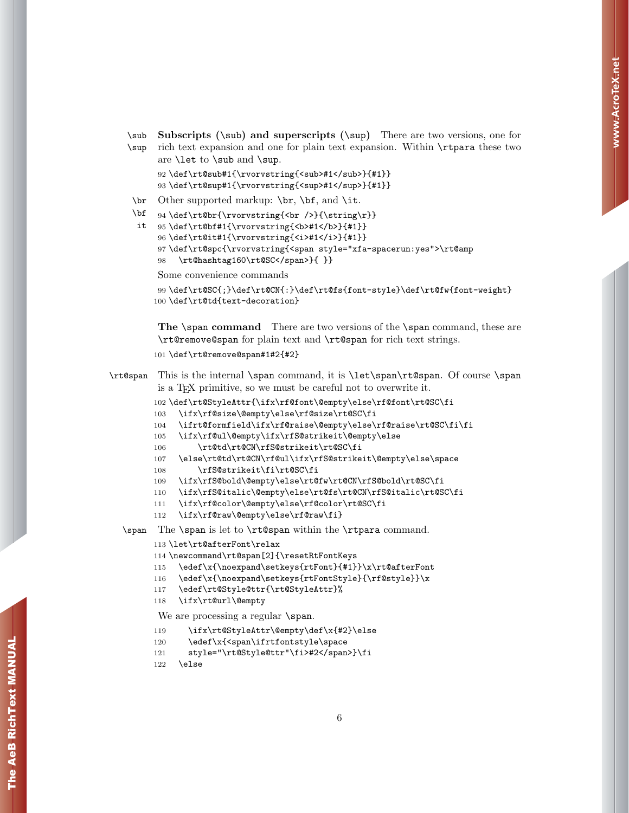\sub Subscripts (\sub) and superscripts (\sup) There are two versions, one for \sup rich text expansion and one for plain text expansion. Within \rtpara these two

```
are \let to \sub and \sup.
92 \def\rt@sub#1{\rvorvstring{<sub>#1</sub>}{#1}}
93 \def\rt@sup#1{\rvorvstring{<sup>#1</sup>}{#1}}
```
\br Other supported markup: \br, \bf, and \it.

\bf 94 \def\rt@br{\rvorvstring{<br />}{\string\r}}

```
it
95 \def\rt@bf#1{\rvorvstring{<b>#1</b>}{#1}}
```

```
96 \def\rt@it#1{\rvorvstring{<i>#1</i>}{#1}}
```

```
97 \def\rt@spc{\rvorvstring{<span style="xfa-spacerun:yes">\rt@amp
```

```
98 \rt@hashtag160\rt@SC</span>}{ }}
```
Some convenience commands

```
99 \def\rt@SC{;}\def\rt@CN{:}\def\rt@fs{font-style}\def\rt@fw{font-weight}
100 \def\rt@td{text-decoration}
```
The \span command There are two versions of the \span command, these are \rt@remove@span for plain text and \rt@span for rich text strings.

```
101 \def\rt@remove@span#1#2{#2}
```
\rt@span This is the internal \span command, it is \let\span\rt@span. Of course \span is a TEX primitive, so we must be careful not to overwrite it.

```
102 \def\rt@StyleAttr{\ifx\rf@font\@empty\else\rf@font\rt@SC\fi
```

```
103 \ifx\rf@size\@empty\else\rf@size\rt@SC\fi
```

```
104 \ifrt@formfield\ifx\rf@raise\@empty\else\rf@raise\rt@SC\fi\fi
```

```
105 \ifx\rf@ul\@empty\ifx\rfS@strikeit\@empty\else
```

```
106 \rt@td\rt@CN\rfS@strikeit\rt@SC\fi
```

```
107 \else\rt@td\rt@CN\rf@ul\ifx\rfS@strikeit\@empty\else\space
```
- 108 \rfS@strikeit\fi\rt@SC\fi
- 109 \ifx\rfS@bold\@empty\else\rt@fw\rt@CN\rfS@bold\rt@SC\fi
- 110 \ifx\rfS@italic\@empty\else\rt@fs\rt@CN\rfS@italic\rt@SC\fi
- 111 \ifx\rf@color\@empty\else\rf@color\rt@SC\fi
- 112 \ifx\rf@raw\@empty\else\rf@raw\fi}

\span The \span is let to \rt@span within the \rtpara command.

```
113 \let\rt@afterFont\relax
```
- 114 \newcommand\rt@span[2]{\resetRtFontKeys
- 115 \edef\x{\noexpand\setkeys{rtFont}{#1}}\x\rt@afterFont
- 116 \edef\x{\noexpand\setkeys{rtFontStyle}{\rf@style}}\x
- 117 \edef\rt@Style@ttr{\rt@StyleAttr}%
- 118 \ifx\rt@url\@empty

We are processing a regular **\span**.

- 119 \ifx\rt@StyleAttr\@empty\def\x{#2}\else
- 120 \edef\x{<span\ifrtfontstyle\space
- 121 style="\rt@Style@ttr"\fi>#2</span>}\fi
- 122 \else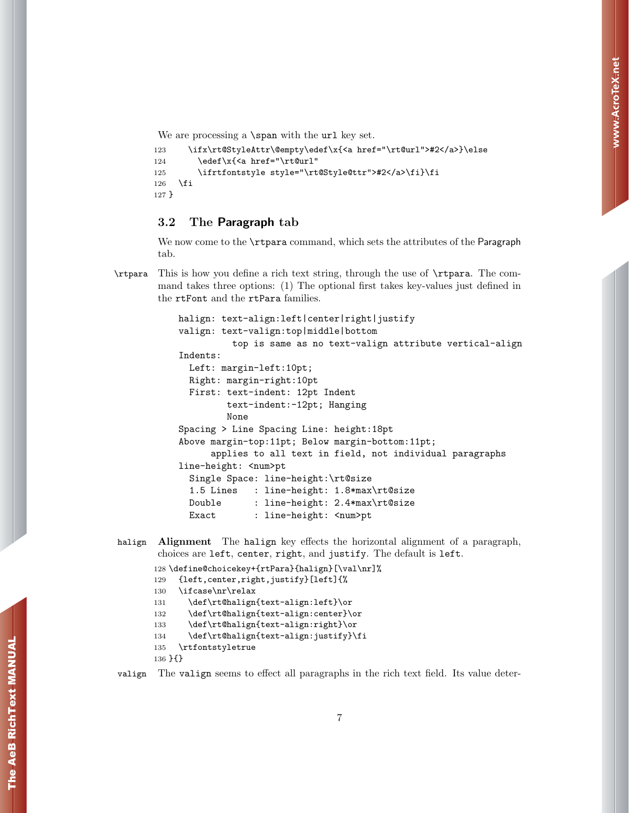We are processing a **\span** with the url key set.

```
123 \ifx\rt@StyleAttr\@empty\edef\x{<a href="\rt@url">#2</a>}\else
124 \edef\x{<a href="\rt@url"
125 \ifrtfontstyle style="\rt@Style@ttr">#2</a>\fi}\fi
126 \fi
127 }
```
#### <span id="page-6-0"></span>3.2 The Paragraph tab

We now come to the **\rtpara** command, which sets the attributes of the Paragraph tab.

\rtpara This is how you define a rich text string, through the use of \rtpara. The command takes three options: (1) The optional first takes key-values just defined in the rtFont and the rtPara families.

```
halign: text-align:left|center|right|justify
valign: text-valign:top|middle|bottom
          top is same as no text-valign attribute vertical-align
Indents:
  Left: margin-left:10pt;
 Right: margin-right:10pt
  First: text-indent: 12pt Indent
         text-indent:-12pt; Hanging
        None
Spacing > Line Spacing Line: height:18pt
Above margin-top:11pt; Below margin-bottom:11pt;
      applies to all text in field, not individual paragraphs
line-height: <num>pt
  Single Space: line-height:\rt@size
  1.5 Lines : line-height: 1.8*max\rt@size
  Double : line-height: 2.4*max\rt@size
  Exact : line-height: <num>pt
```
#### halign Alignment The halign key effects the horizontal alignment of a paragraph, choices are left, center, right, and justify. The default is left.

```
128 \define@choicekey+{rtPara}{halign}[\val\nr]%
129 {left,center,right,justify}[left]{%
130 \ifcase\nr\relax
131 \def\rt@halign{text-align:left}\or
132 \def\rt@halign{text-align:center}\or
133 \def\rt@halign{text-align:right}\or
134 \def\rt@halign{text-align:justify}\fi
135 \rtfontstyletrue
136 }{}
```

```
valign The valign seems to effect all paragraphs in the rich text field. Its value deter-
```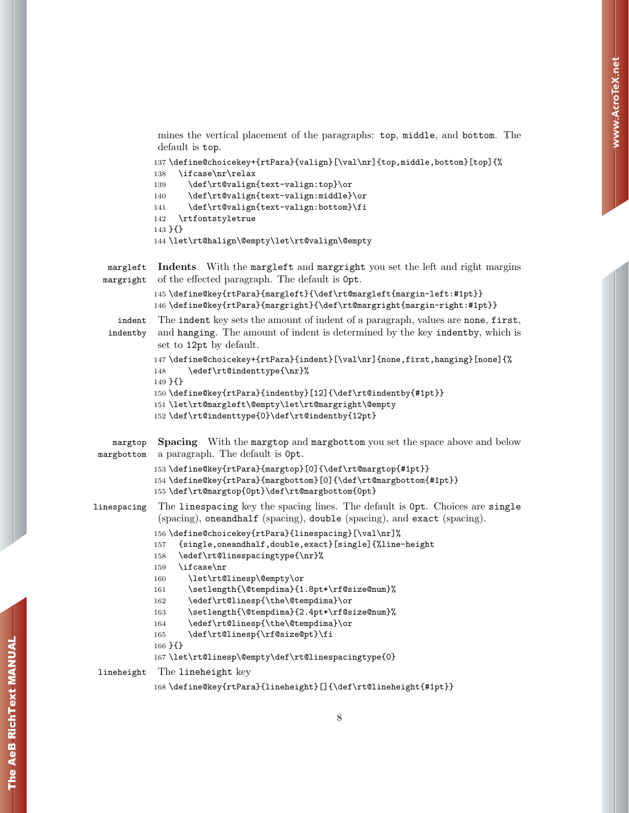mines the vertical placement of the paragraphs: top, middle, and bottom. The default is top.

```
137 \define@choicekey+{rtPara}{valign}[\val\nr]{top,middle,bottom}[top]{%
```

```
138 \ifcase\nr\relax
139 \def\rt@valign{text-valign:top}\or
140 \def\rt@valign{text-valign:middle}\or
141 \def\rt@valign{text-valign:bottom}\fi
142 \rtfontstyletrue
143 }{}
144 \let\rt@halign\@empty\let\rt@valign\@empty
```
margleft Indents With the margleft and margright you set the left and right margins margright of the effected paragraph. The default is 0pt.

```
145 \define@key{rtPara}{margleft}{\def\rt@margleft{margin-left:#1pt}}
146 \define@key{rtPara}{margright}{\def\rt@margright{margin-right:#1pt}}
```
indent The indent key sets the amount of indent of a paragraph, values are none, first, indentby and hanging. The amount of indent is determined by the key indentby, which is set to 12pt by default.

```
147 \define@choicekey+{rtPara}{indent}[\val\nr]{none,first,hanging}[none]{%
148 \edef\rt@indenttype{\nr}%
149 }{}
150 \define@key{rtPara}{indentby}[12]{\def\rt@indentby{#1pt}}
151 \let\rt@margleft\@empty\let\rt@margright\@empty
```

```
152 \def\rt@indenttype{0}\def\rt@indentby{12pt}
```

```
margtop Spacing With the margtop and margbottom you set the space above and below
margbottom a paragraph. The default is 0pt.
```

```
153 \define@key{rtPara}{margtop}[0]{\def\rt@margtop{#1pt}}
154 \define@key{rtPara}{margbottom}[0]{\def\rt@margbottom{#1pt}}
```

```
155 \def\rt@margtop{0pt}\def\rt@margbottom{0pt}
```

```
linespacing The linespacing key the spacing lines. The default is 0pt. Choices are single
             (spacing), oneandhalf (spacing), double (spacing), and exact (spacing).
```

```
156 \define@choicekey{rtPara}{linespacing}[\val\nr]%
```

```
157 {single,oneandhalf,double,exact}[single]{%line-height
```

```
158 \edef\rt@linespacingtype{\nr}%
```
- 159 \ifcase\nr
- 160 \let\rt@linesp\@empty\or

```
161 \setlength{\@tempdima}{1.8pt*\rf@size@num}%
```

```
162 \edef\rt@linesp{\the\@tempdima}\or
```

```
163 \setlength{\@tempdima}{2.4pt*\rf@size@num}%
```
- 164 \edef\rt@linesp{\the\@tempdima}\or
- 165 \def\rt@linesp{\rf@size@pt}\fi

```
167 \let\rt@linesp\@empty\def\rt@linespacingtype{0}
```
lineheight The lineheight key

166 }{}

```
168 \define@key{rtPara}{lineheight}[]{\def\rt@lineheight{#1pt}}
```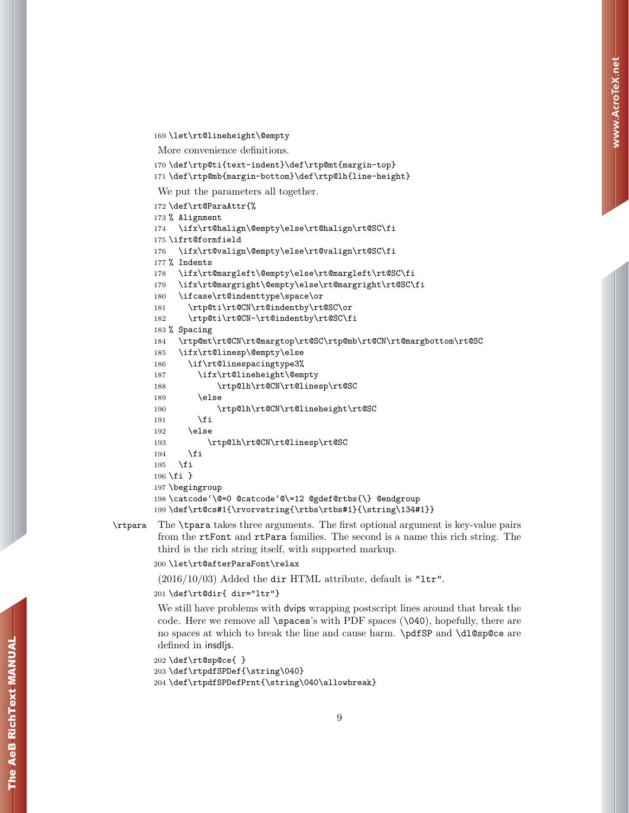```
169 \let\rt@lineheight\@empty
```
More convenience definitions.

```
170 \def\rtp@ti{text-indent}\def\rtp@mt{margin-top}
```

```
171 \def\rtp@mb{margin-bottom}\def\rtp@lh{line-height}
```
We put the parameters all together.

```
172 \def\rt@ParaAttr{%
173 % Alignment
174 \ifx\rt@halign\@empty\else\rt@halign\rt@SC\fi
175 \ifrt@formfield
176 \ifx\rt@valign\@empty\else\rt@valign\rt@SC\fi
177 % Indents
178 \ifx\rt@margleft\@empty\else\rt@margleft\rt@SC\fi
179 \ifx\rt@margright\@empty\else\rt@margright\rt@SC\fi
180 \ifcase\rt@indenttype\space\or
181 \rtp@ti\rt@CN\rt@indentby\rt@SC\or
182 \rtp@ti\rt@CN-\rt@indentby\rt@SC\fi
183 % Spacing
184 \rtp@mt\rt@CN\rt@margtop\rt@SC\rtp@mb\rt@CN\rt@margbottom\rt@SC
185 \ifx\rt@linesp\@empty\else
186 \if\rt@linespacingtype3%
187 \ifx\rt@lineheight\@empty
188 \rtp@lh\rt@CN\rt@linesp\rt@SC
189 \else
190 \rtp@lh\rt@CN\rt@lineheight\rt@SC
191 \overrightarrow{fi}192 \else
193 \rtp@lh\rt@CN\rt@linesp\rt@SC
194 \fi
195 \fi
196 \fi }
197 \begingroup
198 \catcode'\@=0 @catcode'@\=12 @gdef@rtbs{\} @endgroup
199 \def\rt@cs#1{\rvorvstring{\rtbs\rtbs#1}{\string\134#1}}
```
\rtpara The \tpara takes three arguments. The first optional argument is key-value pairs from the rtFont and rtPara families. The second is a name this rich string. The third is the rich string itself, with supported markup.

```
200 \let\rt@afterParaFont\relax
```
 $(2016/10/03)$  Added the dir HTML attribute, default is "1tr".

```
201 \def\rt@dir{ dir="ltr"}
```
We still have problems with dvips wrapping postscript lines around that break the code. Here we remove all \spaces's with PDF spaces (\040), hopefully, there are no spaces at which to break the line and cause harm. \pdfSP and \dl@sp@ce are defined in insdljs.

```
202 \def\rt@sp@ce{ }
```

```
203 \def\rtpdfSPDef{\string\040}
204 \def\rtpdfSPDefPrnt{\string\040\allowbreak}
```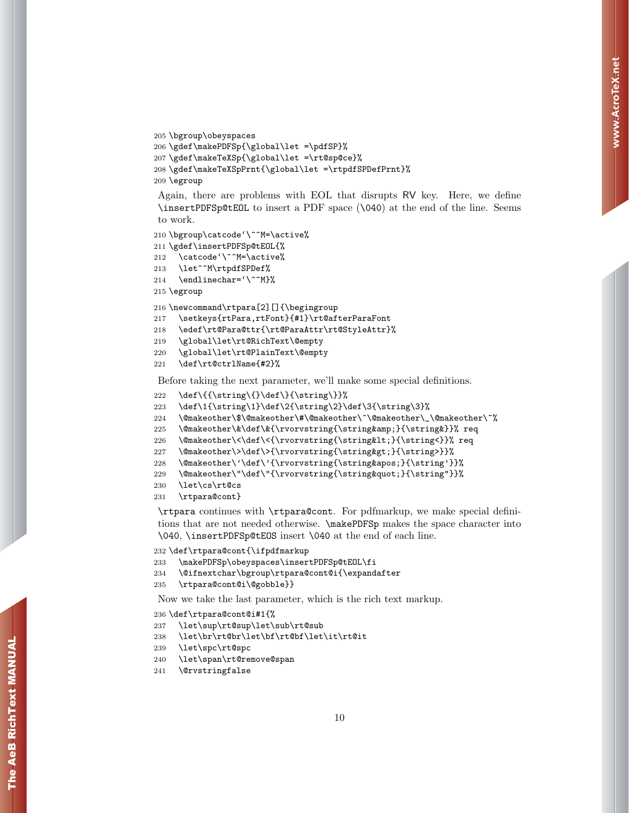```
205 \bgroup\obeyspaces
206 \gdef\makePDFSp{\global\let =\pdfSP}%
207 \gdef\makeTeXSp{\global\let =\rt@sp@ce}%
208 \gdef\makeTeXSpPrnt{\global\let =\rtpdfSPDefPrnt}%
209 \egroup
```
Again, there are problems with EOL that disrupts RV key. Here, we define \insertPDFSp@tEOL to insert a PDF space (\040) at the end of the line. Seems to work.

```
210 \bgroup\catcode'\^^M=\active%
211 \gdef\insertPDFSp@tEOL{%
212 \catcode'\^^M=\active%
213 \let^^M\rtpdfSPDef%
214 \endlinechar='\^^M}%
```
215 \egroup

```
216 \newcommand\rtpara[2][]{\begingroup
```
217 \setkeys{rtPara,rtFont}{#1}\rt@afterParaFont

```
218 \edef\rt@Para@ttr{\rt@ParaAttr\rt@StyleAttr}%
```
- 219 \global\let\rt@RichText\@empty
- 220 \global\let\rt@PlainText\@empty

```
221 \def\rt@ctrlName{#2}%
```
Before taking the next parameter, we'll make some special definitions.

```
222 \def\{{\string\{}\def\}{\string\}}%
```

```
223 \def\1{\string\1}\def\2{\string\2}\def\3{\string\3}%
```

```
224 \@makeother\$\@makeother\#\@makeother\^\@makeother\_\@makeother\~%
```

```
225 \@makeother\&\def\&{\rvorvstring{\string&}{\string&}}% req
```

```
226 \@makeother\<\def\<{\rvorvstring{\string&lt;}{\string<}}% req
```

```
227 \@makeother\>\def\>{\rvorvstring{\string>}{\string>}}%
```

```
228 \@makeother\'\def\'{\rvorvstring{\string'}{\string'}}%
```

```
229 \@makeother\"\def\"{\rvorvstring{\string"}{\string"}}%
```

```
230 \let\cs\rt@cs
```

```
231 \rtpara@cont}
```
\rtpara continues with \rtpara@cont. For pdfmarkup, we make special definitions that are not needed otherwise. \makePDFSp makes the space character into \040, \insertPDFSp@tEOS insert \040 at the end of each line.

```
232 \def\rtpara@cont{\ifpdfmarkup
```

```
233 \makePDFSp\obeyspaces\insertPDFSp@tEOL\fi
```

```
234 \@ifnextchar\bgroup\rtpara@cont@i{\expandafter
```

```
235 \rtpara@cont@i\@gobble}}
```
Now we take the last parameter, which is the rich text markup.

```
236 \def\rtpara@cont@i#1{%
```

```
237 \let\sup\rt@sup\let\sub\rt@sub
```

```
238 \let\br\rt@br\let\bf\rt@bf\let\it\rt@it
```

```
239 \let\spc\rt@spc
```

```
240 \let\span\rt@remove@span
```
241 \@rvstringfalse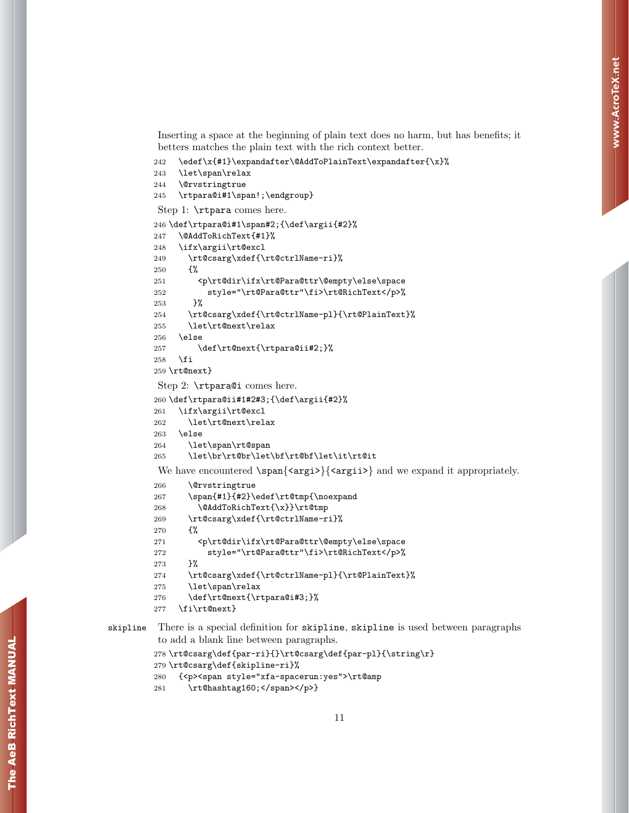Inserting a space at the beginning of plain text does no harm, but has benefits; it betters matches the plain text with the rich context better.

```
242 \edef\x{#1}\expandafter\@AddToPlainText\expandafter{\x}%
```

```
243 \let\span\relax
```

```
244 \@rvstringtrue
```

```
245 \rtpara@i#1\span!;\endgroup}
```
Step 1: \rtpara comes here.

```
246 \def\rtpara@i#1\span#2;{\def\argii{#2}%
247 \@AddToRichText{#1}%
248 \ifx\argii\rt@excl
249 \rt@csarg\xdef{\rt@ctrlName-ri}%
250 {%
251 <p\rt@dir\ifx\rt@Para@ttr\@empty\else\space
252 style="\rt@Para@ttr"\fi>\rt@RichText</p>%
253 }%
254 \rt@csarg\xdef{\rt@ctrlName-pl}{\rt@PlainText}%
255 \let\rt@next\relax
256 \else
257 \def\rt@next{\rtpara@ii#2;}%
258 \fi
259 \rt@next}
```
Step 2: \rtpara@i comes here.

```
260 \def\rtpara@ii#1#2#3;{\def\argii{#2}%
261 \ifx\argii\rt@excl
262 \let\rt@next\relax
263 \else
264 \let\span\rt@span
265 \let\br\rt@br\let\bf\rt@bf\let\it\rt@it
We have encountered \span{\langle argi \rangle} argii>} and we expand it appropriately.
266 \@rvstringtrue
267 \span{#1}{#2}\edef\rt@tmp{\noexpand
```

```
268 \@AddToRichText{\x}}\rt@tmp
269 \rt@csarg\xdef{\rt@ctrlName-ri}%
270 {%
271 <p\rt@dir\ifx\rt@Para@ttr\@empty\else\space
272 style="\rt@Para@ttr"\fi>\rt@RichText</p>%
273 }%
274 \rt@csarg\xdef{\rt@ctrlName-pl}{\rt@PlainText}%
275 \let\span\relax
276 \def\rt@next{\rtpara@i#3;}%
277 \fi\rt@next}
```
skipline There is a special definition for skipline, skipline is used between paragraphs to add a blank line between paragraphs.

```
278\rt@csarg\def{par-ri}{}\rt@csarg\def{par-pl}{\string\r}
279 \rt@csarg\def{skipline-ri}%
280 {<p><span style="xfa-spacerun:yes">\rt@amp
281 \rt@hashtag160;</span></p>}
```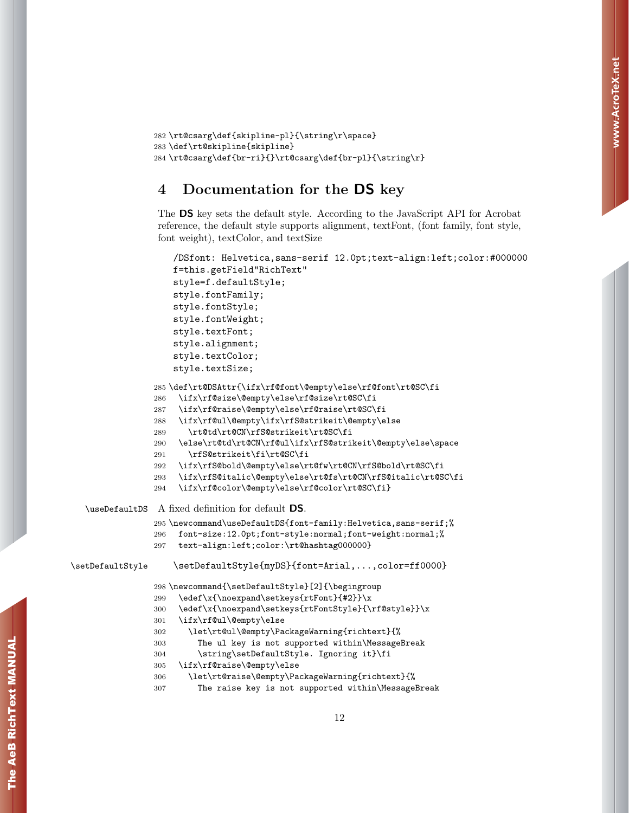```
282 \rt@csarg\def{skipline-pl}{\string\r\space}
283 \def\rt@skipline{skipline}
284 \rt@csarg\def{br-ri}{}\rt@csarg\def{br-pl}{\string\r}
```
## <span id="page-11-0"></span>4 Documentation for the DS key

The DS key sets the default style. According to the JavaScript API for Acrobat reference, the default style supports alignment, textFont, (font family, font style, font weight), textColor, and textSize

```
/DSfont: Helvetica,sans-serif 12.0pt;text-align:left;color:#000000
                    f=this.getField"RichText"
                    style=f.defaultStyle;
                    style.fontFamily;
                    style.fontStyle;
                    style.fontWeight;
                    style.textFont;
                    style.alignment;
                    style.textColor;
                    style.textSize;
                285 \def\rt@DSAttr{\ifx\rf@font\@empty\else\rf@font\rt@SC\fi
                286 \ifx\rf@size\@empty\else\rf@size\rt@SC\fi
                287 \ifx\rf@raise\@empty\else\rf@raise\rt@SC\fi
                288 \ifx\rf@ul\@empty\ifx\rfS@strikeit\@empty\else
                289 \rt@td\rt@CN\rfS@strikeit\rt@SC\fi
                290 \else\rt@td\rt@CN\rf@ul\ifx\rfS@strikeit\@empty\else\space
                291 \rfS@strikeit\fi\rt@SC\fi
                292 \ifx\rfS@bold\@empty\else\rt@fw\rt@CN\rfS@bold\rt@SC\fi
                293 \ifx\rfS@italic\@empty\else\rt@fs\rt@CN\rfS@italic\rt@SC\fi
                294 \ifx\rf@color\@empty\else\rf@color\rt@SC\fi}
  \useDefaultDS A fixed definition for default DS.
                295 \newcommand\useDefaultDS{font-family:Helvetica,sans-serif;%
                296 font-size:12.0pt;font-style:normal;font-weight:normal;%
                297 text-align:left;color:\rt@hashtag000000}
\setDefaultStyle \setDefaultStyle{myDS}{font=Arial,...,color=ff0000}
                298 \newcommand{\setDefaultStyle}[2]{\begingroup
                299 \edef\x{\noexpand\setkeys{rtFont}{#2}}\x
                300 \edef\x{\noexpand\setkeys{rtFontStyle}{\rf@style}}\x
                301 \ifx\rf@ul\@empty\else
                302 \let\rt@ul\@empty\PackageWarning{richtext}{%
                303 The ul key is not supported within\MessageBreak
                304 \string\setDefaultStyle. Ignoring it}\fi
                305 \ifx\rf@raise\@empty\else
                306 \let\rt@raise\@empty\PackageWarning{richtext}{%
                307 The raise key is not supported within\MessageBreak
```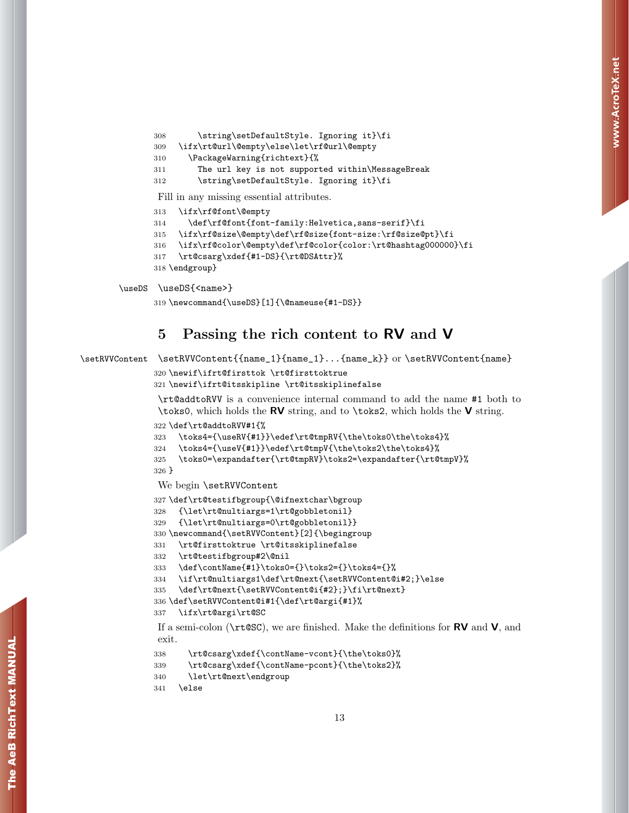```
308 \string\setDefaultStyle. Ignoring it}\fi
309 \ifx\rt@url\@empty\else\let\rf@url\@empty
310 \PackageWarning{richtext}{%
311 The url key is not supported within\MessageBreak
312 \string\setDefaultStyle. Ignoring it}\fi
Fill in any missing essential attributes.
313 \ifx\rf@font\@empty
314 \def\rf@font{font-family:Helvetica,sans-serif}\fi
315 \ifx\rf@size\@empty\def\rf@size{font-size:\rf@size@pt}\fi
316 \ifx\rf@color\@empty\def\rf@color{color:\rt@hashtag000000}\fi
317 \rt@csarg\xdef{#1-DS}{\rt@DSAttr}%
318 \endgroup}
```

```
\useDS \useDS{<name>}
```

```
319 \newcommand{\useDS}[1]{\@nameuse{#1-DS}}
```
## <span id="page-12-0"></span>5 Passing the rich content to RV and V

```
\setRVVContent \setRVVContent{{name_1}{name_1}...{name_k}} or \setRVVContent{name}
```

```
320 \newif\ifrt@firsttok \rt@firsttoktrue
```

```
321 \newif\ifrt@itsskipline \rt@itsskiplinefalse
```
\rt@addtoRVV is a convenience internal command to add the name #1 both to \toks0, which holds the RV string, and to \toks2, which holds the V string.

```
322 \def\rt@addtoRVV#1{%
```

```
323 \toks4={\useRV{#1}}\edef\rt@tmpRV{\the\toks0\the\toks4}%
```

```
324 \toks4={\useV{#1}}\edef\rt@tmpV{\the\toks2\the\toks4}%
```

```
325 \toks0=\expandafter{\rt@tmpRV}\toks2=\expandafter{\rt@tmpV}%
326 }
```
We begin \setRVVContent

```
327 \def\rt@testifbgroup{\@ifnextchar\bgroup
```

```
328 {\let\rt@nultiargs=1\rt@gobbletonil}
```

```
329 {\let\rt@nultiargs=0\rt@gobbletonil}}
```

```
330 \newcommand{\setRVVContent}[2]{\begingroup
```

```
331 \rt@firsttoktrue \rt@itsskiplinefalse
```

```
332 \rt@testifbgroup#2\@nil
```

```
333 \def\contName{#1}\toks0={}\toks2={}\toks4={}%
```

```
334 \if\rt@nultiargs1\def\rt@next{\setRVVContent@i#2;}\else
```

```
335 \def\rt@next{\setRVVContent@i{#2};}\fi\rt@next}
```

```
336 \def\setRVVContent@i#1{\def\rt@argi{#1}%
```

```
337 \ifx\rt@argi\rt@SC
```
If a semi-colon ( $\text{tr@SC}$ ), we are finished. Make the definitions for **RV** and **V**, and exit.

```
338 \rt@csarg\xdef{\contName-vcont}{\the\toks0}%
```

```
339 \rt@csarg\xdef{\contName-pcont}{\the\toks2}%
```

```
340 \let\rt@next\endgroup
```

```
341 \else
```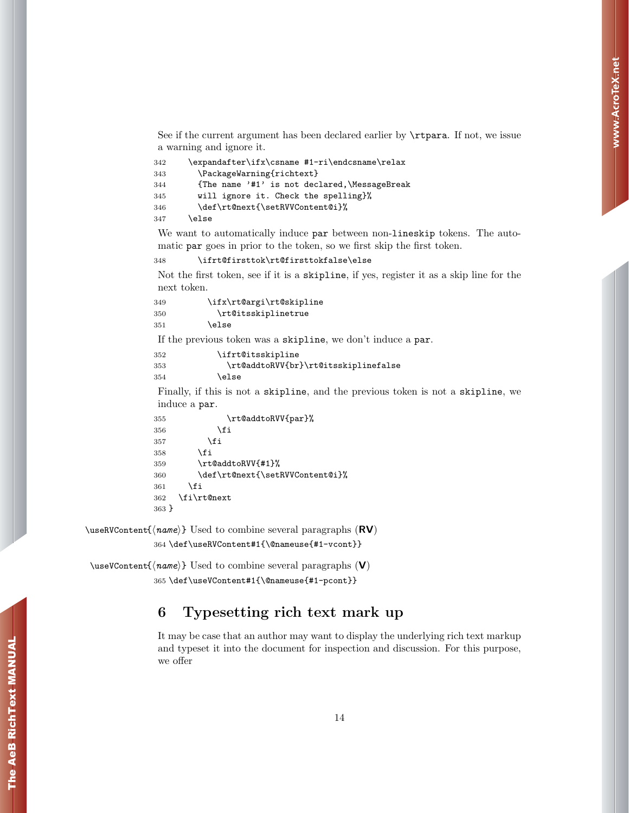See if the current argument has been declared earlier by \rtpara. If not, we issue a warning and ignore it.

| 342 | \expandafter\ifx\csname #1-ri\endcsname\relax |
|-----|-----------------------------------------------|
| 343 | \PackageWarning{richtext}                     |
| 344 | {The name '#1' is not declared, \MessageBreak |
| 345 | will ignore it. Check the spelling}%          |
| 346 | \def\rt@next{\setRVVContent@i}%               |
| 347 | \else                                         |

We want to automatically induce par between non-lineskip tokens. The automatic par goes in prior to the token, so we first skip the first token.

348 \ifrt@firsttok\rt@firsttokfalse\else

Not the first token, see if it is a skipline, if yes, register it as a skip line for the next token.

```
349 \ifx\rt@argi\rt@skipline
350 \rt@itsskiplinetrue
351 \else
```
If the previous token was a skipline, we don't induce a par.

```
352 \ifrt@itsskipline
353 \rt@addtoRVV{br}\rt@itsskiplinefalse
354 \else
```
Finally, if this is not a skipline, and the previous token is not a skipline, we induce a par.

```
355 \rt@addtoRVV{par}%
356 \fi
357 \overrightarrow{fi}358 \fi
359 \rt@addtoRVV{#1}%
360 \def\rt@next{\setRVVContent@i}%
361 \fi
362 \fi\rt@next
363 }
```
 $\text{WCS}$  \useRVContent{ $\langle name \rangle$ } Used to combine several paragraphs  $(\text{RV})$ 

```
364 \def\useRVContent#1{\@nameuse{#1-vcont}}
```
 $\text{VuseVContent} \{ \text{name} \}$  Used to combine several paragraphs (V) 365 \def\useVContent#1{\@nameuse{#1-pcont}}

## <span id="page-13-0"></span>6 Typesetting rich text mark up

It may be case that an author may want to display the underlying rich text markup and typeset it into the document for inspection and discussion. For this purpose, we offer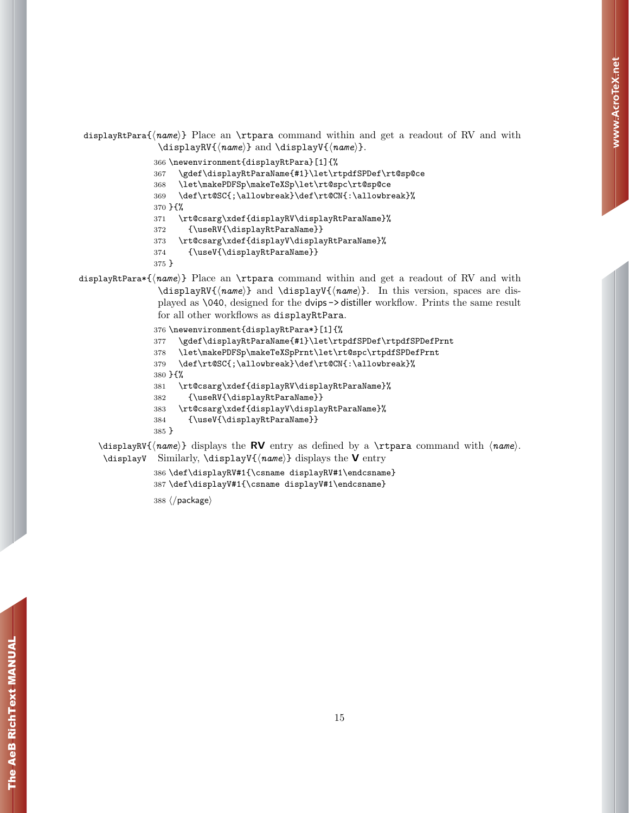displayRtPara $\{name\}$  Place an \rtpara command within and get a readout of RV and with \displayRV{ $\langle name \rangle$ } and \displayV{ $\langle name \rangle$ }.

\newenvironment{displayRtPara}[1]{%

\gdef\displayRtParaName{#1}\let\rtpdfSPDef\rt@sp@ce

\let\makePDFSp\makeTeXSp\let\rt@spc\rt@sp@ce

\def\rt@SC{;\allowbreak}\def\rt@CN{:\allowbreak}%

}{%

\rt@csarg\xdef{displayRV\displayRtParaName}%

- {\useRV{\displayRtParaName}}
- \rt@csarg\xdef{displayV\displayRtParaName}%
- {\useV{\displayRtParaName}}

}

displayRtPara\*{ $\langle name \rangle$ } Place an \rtpara command within and get a readout of RV and with \displayRV{ $\langle name \rangle$ } and \displayV{ $\langle name \rangle$ }. In this version, spaces are displayed as \040, designed for the dvips -> distiller workflow. Prints the same result for all other workflows as displayRtPara.

```
376 \newenvironment{displayRtPara*}[1]{%
377 \gdef\displayRtParaName{#1}\let\rtpdfSPDef\rtpdfSPDefPrnt
378 \let\makePDFSp\makeTeXSpPrnt\let\rt@spc\rtpdfSPDefPrnt
379 \def\rt@SC{;\allowbreak}\def\rt@CN{:\allowbreak}%
380 }{%
381 \rt@csarg\xdef{displayRV\displayRtParaName}%
382 {\useRV{\displayRtParaName}}
383 \rt@csarg\xdef{displayV\displayRtParaName}%
384 {\useV{\displayRtParaName}}
385 }
```
 $\displaystyle \delta \times \sigma$  displayRV{ $\langle \text{name} \rangle$ } displays the RV entry as defined by a  $\langle \text{name} \rangle$ . \displayV Similarly, \displayV{ $\langle name \rangle$ } displays the **V** entry

> \def\displayRV#1{\csname displayRV#1\endcsname} \def\displayV#1{\csname displayV#1\endcsname}

388  $\langle$ /package $\rangle$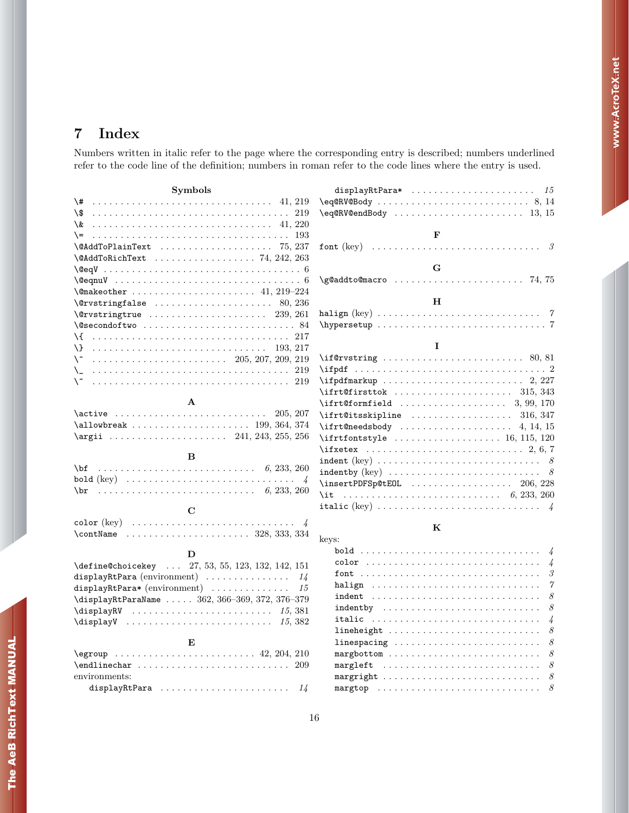## <span id="page-15-0"></span>7 Index

Numbers written in italic refer to the page where the corresponding entry is described; numbers underlined refer to the code line of the definition; numbers in roman refer to the code lines where the entry is used.

| Symbols                                                                                                          | displayRtPara*<br>-15                                                                                          |
|------------------------------------------------------------------------------------------------------------------|----------------------------------------------------------------------------------------------------------------|
| $\setminus$ #  41, 219                                                                                           | $\eqref{eq:RV@Body} \ldots \ldots \ldots \ldots \ldots \ldots \ldots \ldots \ldots \ldots \ldots \ldots$       |
|                                                                                                                  |                                                                                                                |
| \&                                                                                                               |                                                                                                                |
| $\backslash$ =                                                                                                   | F                                                                                                              |
| $\Delta$ ToPlainText  75, 237                                                                                    | font (key) $\ldots \ldots \ldots \ldots \ldots \ldots \ldots \ldots \ldots \ldots$                             |
| $\texttt{QAddToRichardText}$ 74, 242, 263                                                                        |                                                                                                                |
| $\qquad$                                                                                                         | G                                                                                                              |
|                                                                                                                  |                                                                                                                |
| $\{\mathsf{Qmakeother}\,\,\ldots\,\,\ldots\,\,\ldots\,\,\ldots\,\,\ldots\,\,\,\,41,\,219\text{--}224\}$          |                                                                                                                |
| $\text{Vervstringfalse}$ 80, 236                                                                                 | Н                                                                                                              |
| $\sqrt{c}$ rvstringtrue  239, 261                                                                                |                                                                                                                |
|                                                                                                                  |                                                                                                                |
| \{                                                                                                               |                                                                                                                |
| Æ                                                                                                                | T                                                                                                              |
| \^                                                                                                               | $\left\{\text{irvstring}\ldots\ldots\ldots\ldots\ldots\ldots\quad80,\,81\right\}$                              |
| $\lambda_{-}$                                                                                                    | $\left\{ \text{ right } \dots \dots \dots \dots \dots \dots \dots \dots \dots \dots \right\}$                  |
| ∖∼                                                                                                               | $\left\{\text{infpdfmarkup} \dots \dots \dots \dots \dots \dots \dots \dots \dots \right\}$                    |
|                                                                                                                  | $\left\{\text{ifrt}$ Gfirsttok  315, 343                                                                       |
| A                                                                                                                | $\ifft@formfield$ 3, 99, 170                                                                                   |
|                                                                                                                  | $\it \iint@itsskipline \dots \dots \dots \dots \dots \ 316, 347$                                               |
|                                                                                                                  |                                                                                                                |
|                                                                                                                  | $\iff$ 115, 120                                                                                                |
|                                                                                                                  | $\{ \text{if xetex } \dots \dots \dots \dots \dots \dots \dots \quad 2, 6, 7 \}$                               |
| B                                                                                                                |                                                                                                                |
| $\ldots \ldots \ldots \ldots \ldots \ldots \ldots \ldots \ldots \ldots \ldots \quad 6, 233, 260$<br>$\bf \delta$ | $\texttt{indepthy (key)} \dots \dots \dots \dots \dots \dots \dots \dots \dots$                                |
|                                                                                                                  | $\{insertPDFSp@tEOL$ 206, 228                                                                                  |
| $\bra{b}$                                                                                                        | \it $6, 233, 260$                                                                                              |
|                                                                                                                  |                                                                                                                |
| C                                                                                                                |                                                                                                                |
| color (key) $\ldots \ldots \ldots \ldots \ldots \ldots \ldots \ldots \ldots \ldots$                              | K                                                                                                              |
| $\{\text{contName } \dots \dots \dots \dots \dots \ 328, 333, 334\}$                                             | keys:                                                                                                          |
| D                                                                                                                |                                                                                                                |
| \define@choicekey  27, 53, 55, 123, 132, 142, 151                                                                | $\frac{1}{4}$                                                                                                  |
| displayRtPara (environment) $\ldots \ldots \ldots \ldots \ldots$                                                 | 3                                                                                                              |
| displayRtPara* (environment)<br>15                                                                               | 7                                                                                                              |
| \displayRtParaName  362, 366-369, 372, 376-379                                                                   | 8<br>$indent \quad \ldots \ldots \ldots \ldots \ldots \ldots \ldots \ldots \ldots \ldots \ldots \ldots \ldots$ |
| $\displaystyle \frac{15,381}$                                                                                    | $indepth$ $y \dots \dots \dots \dots \dots \dots \dots \dots \dots$<br>8                                       |
| $\displaystyle\bigcup\limits_{15,382}$                                                                           | italic<br>$\frac{1}{4}$                                                                                        |
|                                                                                                                  | 8                                                                                                              |
| E                                                                                                                | 8<br>$linespace \dots \dots \dots \dots \dots \dots \dots \dots \dots \dots \dots \dots$                       |
| $\qquad \qquad \texttt{42, 204, 210}$                                                                            | 8                                                                                                              |
|                                                                                                                  | margleft<br>8                                                                                                  |
| environments:                                                                                                    | 8                                                                                                              |

margtop  $\ldots \ldots \ldots \ldots \ldots \ldots \ldots \ldots \ldots \ldots \quad 8$ 

displayRtPara  $\ldots \ldots \ldots \ldots \ldots \ldots \ldots \ldots$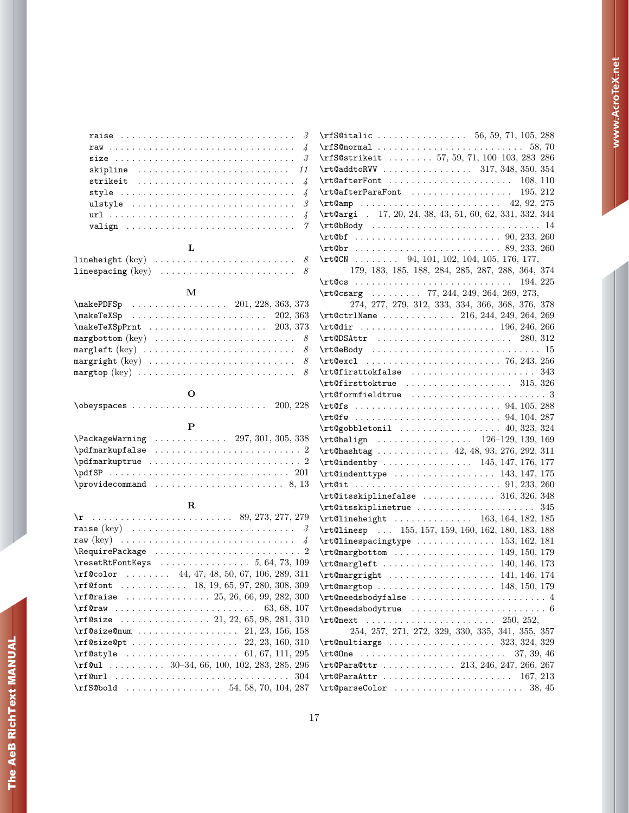| skipline $11$                                                                        |  |
|--------------------------------------------------------------------------------------|--|
|                                                                                      |  |
| style $\ldots \ldots \ldots \ldots \ldots \ldots \ldots \ldots \ldots \ldots$        |  |
| ulstyle $\ldots \ldots \ldots \ldots \ldots \ldots \ldots \ldots \ldots \quad \beta$ |  |
|                                                                                      |  |
|                                                                                      |  |
|                                                                                      |  |

## L

| $\verb linespacing (key)   \dots \dots \dots \dots \dots \dots \dots \dots \, 8$ |  |  |  |  |  |  |  |  |  |  |  |  |  |
|----------------------------------------------------------------------------------|--|--|--|--|--|--|--|--|--|--|--|--|--|

## M

| $\{\text{makePDFSp} \dots \dots \dots \dots \ 201, 228, 363, 373\}$         |  |
|-----------------------------------------------------------------------------|--|
| $\{\text{makeTeVSp} \dots \dots \dots \dots \dots \dots \ 202, 363\}$       |  |
| $\{\text{makeTeXSpPrnt} \dots \dots \dots \dots \dots \ 203, 373\}$         |  |
|                                                                             |  |
| margleft (key) $\ldots \ldots \ldots \ldots \ldots \ldots \ldots \ldots$ 8  |  |
| margright (key) $\ldots \ldots \ldots \ldots \ldots \ldots \ldots \ldots$ 8 |  |
|                                                                             |  |

## O

 $\verb+\obeyspaces + \verb+\++\cdots + \verb+\++\cdots + \verb+\+200, 228$ 

## P

| \PackageWarning  297, 301, 305, 338 |  |  |  |  |  |  |  |  |  |  |  |  |  |
|-------------------------------------|--|--|--|--|--|--|--|--|--|--|--|--|--|
| $\qquad$                            |  |  |  |  |  |  |  |  |  |  |  |  |  |
| $\qquad$                            |  |  |  |  |  |  |  |  |  |  |  |  |  |
| $\qquad \qquad \qquad \qquad 201$   |  |  |  |  |  |  |  |  |  |  |  |  |  |
| $\gamma$ . $\beta$ , 13             |  |  |  |  |  |  |  |  |  |  |  |  |  |

## R

| raise (key) $\ldots \ldots \ldots \ldots \ldots \ldots \ldots \ldots \ldots$                                                                                                                                                                                                                                                                                                                                                                                                                                                   |
|--------------------------------------------------------------------------------------------------------------------------------------------------------------------------------------------------------------------------------------------------------------------------------------------------------------------------------------------------------------------------------------------------------------------------------------------------------------------------------------------------------------------------------|
| raw (key) $\ldots \ldots \ldots \ldots \ldots \ldots \ldots \ldots \ldots \ldots \ldots$                                                                                                                                                                                                                                                                                                                                                                                                                                       |
| \RequirePackage  2                                                                                                                                                                                                                                                                                                                                                                                                                                                                                                             |
| $\text{TestRtFontKeywords} \dots \dots \dots \dots 5, 64, 73, 109$                                                                                                                                                                                                                                                                                                                                                                                                                                                             |
| $\rfloor$ (rf@color  44, 47, 48, 50, 67, 106, 289, 311                                                                                                                                                                                                                                                                                                                                                                                                                                                                         |
| $\mathbf{t} \ldots \ldots \ldots \quad 18, 19, 65, 97, 280, 308, 309$                                                                                                                                                                                                                                                                                                                                                                                                                                                          |
| $\mathcal{I}$ (rf@raise  25, 26, 66, 99, 282, 300                                                                                                                                                                                                                                                                                                                                                                                                                                                                              |
|                                                                                                                                                                                                                                                                                                                                                                                                                                                                                                                                |
| $\mathbf{x} \in \mathbb{Z} \setminus \mathbb{Z} \setminus \mathbb{Z} \setminus \mathbb{Z} \setminus \mathbb{Z} \setminus \mathbb{Z} \setminus \mathbb{Z} \setminus \mathbb{Z} \setminus \mathbb{Z} \setminus \mathbb{Z} \setminus \mathbb{Z} \setminus \mathbb{Z} \setminus \mathbb{Z} \setminus \mathbb{Z} \setminus \mathbb{Z} \setminus \mathbb{Z} \setminus \mathbb{Z} \setminus \mathbb{Z} \setminus \mathbb{Z} \setminus \mathbb{Z} \setminus \mathbb{Z} \setminus \mathbb{Z} \setminus \mathbb{Z} \setminus \mathbb{Z}$ |
|                                                                                                                                                                                                                                                                                                                                                                                                                                                                                                                                |
|                                                                                                                                                                                                                                                                                                                                                                                                                                                                                                                                |
|                                                                                                                                                                                                                                                                                                                                                                                                                                                                                                                                |
| $\rfloor$ 30-34, 66, 100, 102, 283, 285, 296                                                                                                                                                                                                                                                                                                                                                                                                                                                                                   |
|                                                                                                                                                                                                                                                                                                                                                                                                                                                                                                                                |
|                                                                                                                                                                                                                                                                                                                                                                                                                                                                                                                                |

| $\rffS@italic  \r  \r56, 59, 71, 105, 288$                                                                                                                                                                                                                                                                                                                  |
|-------------------------------------------------------------------------------------------------------------------------------------------------------------------------------------------------------------------------------------------------------------------------------------------------------------------------------------------------------------|
|                                                                                                                                                                                                                                                                                                                                                             |
| \rfS@strikeit  57, 59, 71, 100-103, 283-286                                                                                                                                                                                                                                                                                                                 |
| \rt@addtoRVV  317, 348, 350, 354                                                                                                                                                                                                                                                                                                                            |
| $\tau$ CafterFont  108, 110                                                                                                                                                                                                                                                                                                                                 |
|                                                                                                                                                                                                                                                                                                                                                             |
| $\tau$ Camp  42, 92, 275                                                                                                                                                                                                                                                                                                                                    |
| \rt@argi . 17, 20, 24, 38, 43, 51, 60, 62, 331, 332, 344                                                                                                                                                                                                                                                                                                    |
| $\mathcal{L}$ $\mathcal{L}$ $\mathcal{L}$ $\mathcal{L}$ $\mathcal{L}$ $\mathcal{L}$ $\mathcal{L}$ $\mathcal{L}$ $\mathcal{L}$ $\mathcal{L}$ $\mathcal{L}$ $\mathcal{L}$ $\mathcal{L}$ $\mathcal{L}$ $\mathcal{L}$ $\mathcal{L}$ $\mathcal{L}$ $\mathcal{L}$ $\mathcal{L}$ $\mathcal{L}$ $\mathcal{L}$ $\mathcal{L}$ $\mathcal{L}$ $\mathcal{L}$ $\mathcal{$ |
|                                                                                                                                                                                                                                                                                                                                                             |
|                                                                                                                                                                                                                                                                                                                                                             |
| $\rtt$ <sup>2</sup> CN 94, 101, 102, 104, 105, 176, 177,                                                                                                                                                                                                                                                                                                    |
|                                                                                                                                                                                                                                                                                                                                                             |
| 179, 183, 185, 188, 284, 285, 287, 288, 364, 374<br>$\lvert \cdot \rvert$ 194, 225                                                                                                                                                                                                                                                                          |
| $\mathcal{L}$ t $\mathcal{Q}$ csarg  77, 244, 249, 264, 269, 273,                                                                                                                                                                                                                                                                                           |
|                                                                                                                                                                                                                                                                                                                                                             |
| 274, 277, 279, 312, 333, 334, 366, 368, 376, 378                                                                                                                                                                                                                                                                                                            |
| \rt@ctrlName  216, 244, 249, 264, 269                                                                                                                                                                                                                                                                                                                       |
|                                                                                                                                                                                                                                                                                                                                                             |
|                                                                                                                                                                                                                                                                                                                                                             |
|                                                                                                                                                                                                                                                                                                                                                             |
|                                                                                                                                                                                                                                                                                                                                                             |
| $\mathcal{I}$ : $\mathcal{I}$ : $\mathcal{I}$ : $\mathcal{I}$ : $\mathcal{I}$ : $\mathcal{I}$ : $\mathcal{I}$ : $\mathcal{I}$ : $\mathcal{I}$ : $\mathcal{I}$ : $\mathcal{I}$ : $\mathcal{I}$ : $\mathcal{I}$ : $\mathcal{I}$ : $\mathcal{I}$ : $\mathcal{I}$ : $\mathcal{I}$ : $\mathcal{I}$ : $\mathcal{I}$ : $\mathcal{I}$ :                             |
| $\rtt@first$ toktrue  315, 326                                                                                                                                                                                                                                                                                                                              |
|                                                                                                                                                                                                                                                                                                                                                             |
|                                                                                                                                                                                                                                                                                                                                                             |
| $\rtile$ $(94, 104, 287)$                                                                                                                                                                                                                                                                                                                                   |
| $\mathcal{L}$ = 40, 323, 324                                                                                                                                                                                                                                                                                                                                |
| \rt@halign  126-129, 139, 169                                                                                                                                                                                                                                                                                                                               |
| \rt@hashtag  42, 48, 93, 276, 292, 311                                                                                                                                                                                                                                                                                                                      |
| $\lvert \tvert$ and $\lvert \tvert$ 145, 147, 176, 177                                                                                                                                                                                                                                                                                                      |
| $\lvert \tvert$ and $\lvert \tvert$ 143, 147, 175                                                                                                                                                                                                                                                                                                           |
|                                                                                                                                                                                                                                                                                                                                                             |
| $\lvert \$ $\lvert$ 316, 326, 348                                                                                                                                                                                                                                                                                                                           |
| $\lvert \texttt{Citsskipline} \ldots \ldots \ldots \ldots \rvert$ 345                                                                                                                                                                                                                                                                                       |
| \rt@lineheight  163, 164, 182, 185                                                                                                                                                                                                                                                                                                                          |
| \rt@linesp  155, 157, 159, 160, 162, 180, 183, 188                                                                                                                                                                                                                                                                                                          |
| $\mathcal{L}$ = 153, 162, 181                                                                                                                                                                                                                                                                                                                               |
|                                                                                                                                                                                                                                                                                                                                                             |
| $\rtimes$ rt@margleft  140, 146, 173                                                                                                                                                                                                                                                                                                                        |
| \rt@margright  141, 146, 174                                                                                                                                                                                                                                                                                                                                |
| \rt@margtop  148, 150, 179                                                                                                                                                                                                                                                                                                                                  |
|                                                                                                                                                                                                                                                                                                                                                             |
|                                                                                                                                                                                                                                                                                                                                                             |
| \rt@next                                                                                                                                                                                                                                                                                                                                                    |
| 254, 257, 271, 272, 329, 330, 335, 341, 355, 357                                                                                                                                                                                                                                                                                                            |
|                                                                                                                                                                                                                                                                                                                                                             |
| 37, 39, 46                                                                                                                                                                                                                                                                                                                                                  |
| \rt@Para@ttr  213, 246, 247, 266, 267                                                                                                                                                                                                                                                                                                                       |
| $\mathcal{L}$ = 167, 213                                                                                                                                                                                                                                                                                                                                    |
|                                                                                                                                                                                                                                                                                                                                                             |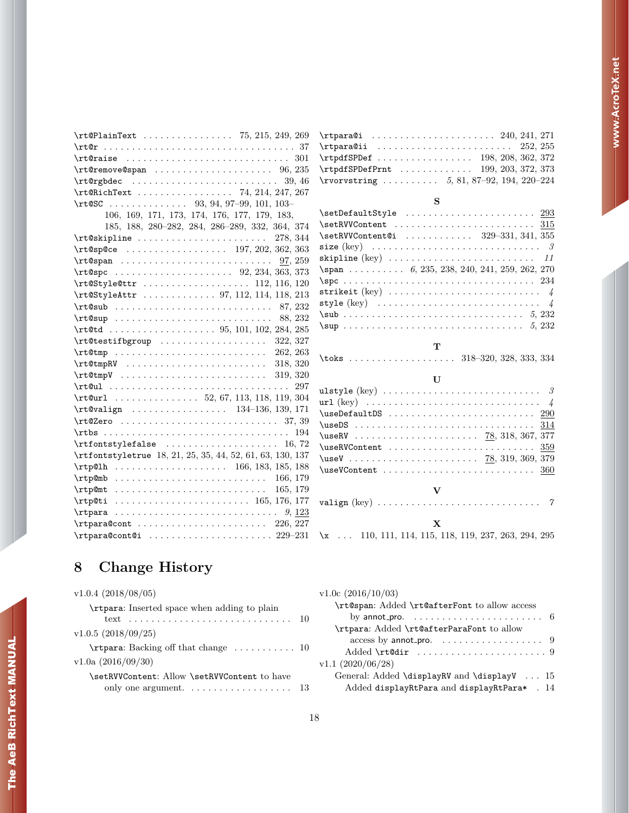| \rt@PlainText  75, 215, 249, 269                                                                                                                                                                                                                                                                                                                            |
|-------------------------------------------------------------------------------------------------------------------------------------------------------------------------------------------------------------------------------------------------------------------------------------------------------------------------------------------------------------|
|                                                                                                                                                                                                                                                                                                                                                             |
|                                                                                                                                                                                                                                                                                                                                                             |
| $\lvert \tvert$ and $\lvert \tvert$ and $\lvert \tvert$ are $\lvert \tvert$ and $\lvert \tvert$ are $\lvert \tvert$ are $\lvert \tvert$ and $\lvert \tvert$ are $\lvert \tvert$ and $\lvert \tvert$ are $\lvert \tvert$ and $\lvert \tvert$ are $\lvert \tvert$ are $\lvert \tvert$ and $\lvert \tvert$ are $\lvert \tvert$ are $\lvert \tvert$ are         |
| $\mathcal{L}$ $\mathcal{L}$ $\mathcal{L}$ $\mathcal{L}$ $\mathcal{L}$ $\mathcal{L}$ $\mathcal{L}$ $\mathcal{L}$ $\mathcal{L}$ $\mathcal{L}$ $\mathcal{L}$ $\mathcal{L}$ $\mathcal{L}$ $\mathcal{L}$ $\mathcal{L}$ $\mathcal{L}$ $\mathcal{L}$ $\mathcal{L}$ $\mathcal{L}$ $\mathcal{L}$ $\mathcal{L}$ $\mathcal{L}$ $\mathcal{L}$ $\mathcal{L}$ $\mathcal{$ |
| \rt@RichText  74, 214, 247, 267                                                                                                                                                                                                                                                                                                                             |
| \rt@SC 93, 94, 97-99, 101, 103-                                                                                                                                                                                                                                                                                                                             |
| 106, 169, 171, 173, 174, 176, 177, 179, 183,                                                                                                                                                                                                                                                                                                                |
| 185, 188, 280-282, 284, 286-289, 332, 364, 374                                                                                                                                                                                                                                                                                                              |
| $\mathcal{L}$ and $\mathcal{L}$ and $\mathcal{L}$ are $\mathcal{L}$ and $\mathcal{L}$ are $\mathcal{L}$ and $\mathcal{L}$ are $\mathcal{L}$ and $\mathcal{L}$ are $\mathcal{L}$ and $\mathcal{L}$ are $\mathcal{L}$ and $\mathcal{L}$ are $\mathcal{L}$ are $\mathcal{L}$ and $\mathcal{L}$ are $\mathcal{L}$ are                                           |
| $\mathcal{L}$ = 197, 202, 362, 363                                                                                                                                                                                                                                                                                                                          |
|                                                                                                                                                                                                                                                                                                                                                             |
| $\mathcal{L}$ = $\mathcal{L}$ 363, 373                                                                                                                                                                                                                                                                                                                      |
| $\mathcal{L}$ 112, 116, 120                                                                                                                                                                                                                                                                                                                                 |
| \rt@StyleAttr  97, 112, 114, 118, 213                                                                                                                                                                                                                                                                                                                       |
|                                                                                                                                                                                                                                                                                                                                                             |
|                                                                                                                                                                                                                                                                                                                                                             |
|                                                                                                                                                                                                                                                                                                                                                             |
|                                                                                                                                                                                                                                                                                                                                                             |
|                                                                                                                                                                                                                                                                                                                                                             |
|                                                                                                                                                                                                                                                                                                                                                             |
| $\mathcal{L}$ $\mathcal{L}$ $\mathcal{L}$ $\mathcal{L}$ $\mathcal{L}$ $\mathcal{L}$ $\mathcal{L}$ $\mathcal{L}$ $\mathcal{L}$ $\mathcal{L}$ $\mathcal{L}$ $\mathcal{L}$ $\mathcal{L}$ $\mathcal{L}$ $\mathcal{L}$ $\mathcal{L}$ $\mathcal{L}$ $\mathcal{L}$ $\mathcal{L}$ $\mathcal{L}$ $\mathcal{L}$ $\mathcal{L}$ $\mathcal{L}$ $\mathcal{L}$ $\mathcal{$ |
|                                                                                                                                                                                                                                                                                                                                                             |
|                                                                                                                                                                                                                                                                                                                                                             |
| \rt@valign  134-136, 139, 171                                                                                                                                                                                                                                                                                                                               |
|                                                                                                                                                                                                                                                                                                                                                             |
| 194                                                                                                                                                                                                                                                                                                                                                         |
| $\rtt$ fontstylefalse  16,72                                                                                                                                                                                                                                                                                                                                |
| \rtfontstyletrue 18, 21, 25, 35, 44, 52, 61, 63, 130, 137                                                                                                                                                                                                                                                                                                   |
| $\trp@lh$ 166, 183, 185, 188                                                                                                                                                                                                                                                                                                                                |
| 166, 179                                                                                                                                                                                                                                                                                                                                                    |
| $\trp0m$ t  165, 179                                                                                                                                                                                                                                                                                                                                        |
|                                                                                                                                                                                                                                                                                                                                                             |
|                                                                                                                                                                                                                                                                                                                                                             |
| $\theta$ . 226, 227                                                                                                                                                                                                                                                                                                                                         |
| $\theta$ . 229-231                                                                                                                                                                                                                                                                                                                                          |

| $\tau$ ara@i  240, 241, 271               |  |
|-------------------------------------------|--|
| $\tau$ para@ii  252, 255                  |  |
| $\trp{diffSPDef$ 198, 208, 362, 372       |  |
| $\trp{diffSPDefPrnt$ 199, 203, 372, 373   |  |
| \rvorvstring $5, 81, 87-92, 194, 220-224$ |  |

#### S

| $\verb+\setDefaultStyle + \dots + \dots + \dots + \_293$                             |
|--------------------------------------------------------------------------------------|
|                                                                                      |
| $\setminus$ setRVVContentCi  329-331, 341, 355                                       |
|                                                                                      |
|                                                                                      |
| $\text{Span} \dots \dots \dots 6, 235, 238, 240, 241, 259, 262, 270$                 |
|                                                                                      |
| strikeit (key) $\ldots \ldots \ldots \ldots \ldots \ldots \ldots \ldots \ldots \; 4$ |
|                                                                                      |
|                                                                                      |
|                                                                                      |

#### T \toks . . . . . . . . . . . . . . . . . . . 318–320, 328, 333, 334

### $\mathbf U$

| $\texttt{UseRVContent} \dots \dots \dots \dots \dots \dots \dots \dots \dots \dots \dots \dots \dots$ |
|-------------------------------------------------------------------------------------------------------|
|                                                                                                       |
| $\text{UseVContent} \dots \dots \dots \dots \dots \dots \dots \dots \dots \dots \dots \dots$          |
|                                                                                                       |
| $\mathbf v$                                                                                           |
| valign (key) $\ldots \ldots \ldots \ldots \ldots \ldots \ldots \ldots \ldots$ 7                       |
|                                                                                                       |
| $\mathbf x$                                                                                           |
| $x$ 110, 111, 114, 115, 118, 119, 237, 263, 294, 295                                                  |

# <span id="page-17-0"></span>8 Change History

| $v1.0.4$ (2018/08/05)                                             | v1.0c(20) |
|-------------------------------------------------------------------|-----------|
| \rtpara: Inserted space when adding to plain                      | \rt@s     |
| text                                                              | by        |
| $v1.0.5$ (2018/09/25)                                             | \rtpa     |
|                                                                   | a.        |
|                                                                   | Ad        |
| $v1.0a$ (2016/09/30)                                              | v1.1(202) |
| \setRVVContent: Allow \setRVVContent to have                      | Gener     |
| only one argument. $\dots \dots \dots \dots \dots \dots \dots$ 13 | Ad        |
|                                                                   |           |

| $v1.0c$ (2016/10/03)                                                      |
|---------------------------------------------------------------------------|
| \rt@span: Added \rt@afterFont to allow access                             |
| by annot_pro. $\ldots \ldots \ldots \ldots \ldots \ldots \ldots \ldots$ 6 |
| \rtpara: Added \rt@afterParaFont to allow                                 |
| access by annot_pro. $\dots\dots\dots\dots\dots\dots$                     |
|                                                                           |
| v1.1(2020/06/28)                                                          |
| General: Added \displayRV and \displayV  15                               |
| Added displayRtPara and displayRtPara* . 14                               |
|                                                                           |

The AeB RichText MANUAL

The AeB RichText MANUAL